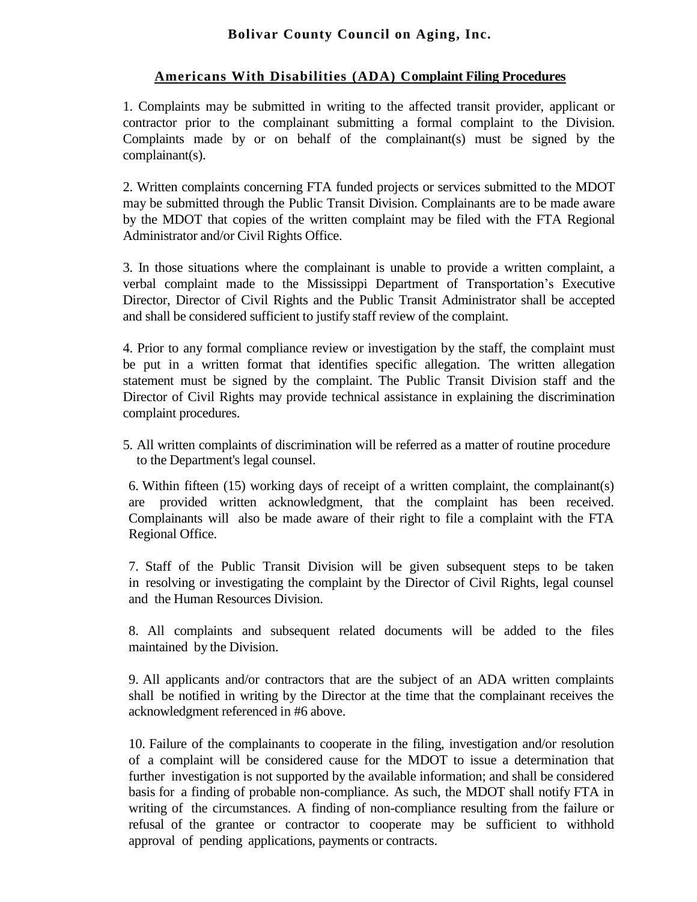## **Bolivar County Council on Aging, Inc.**

## **Americans With Disabilities (ADA) Complaint Filing Procedures**

1. Complaints may be submitted in writing to the affected transit provider, applicant or contractor prior to the complainant submitting a formal complaint to the Division. Complaints made by or on behalf of the complainant(s) must be signed by the complainant(s).

2. Written complaints concerning FTA funded projects or services submitted to the MDOT may be submitted through the Public Transit Division. Complainants are to be made aware by the MDOT that copies of the written complaint may be filed with the FTA Regional Administrator and/or Civil Rights Office.

3. In those situations where the complainant is unable to provide a written complaint, a verbal complaint made to the Mississippi Department of Transportation's Executive Director, Director of Civil Rights and the Public Transit Administrator shall be accepted and shall be considered sufficient to justify staff review of the complaint.

4. Prior to any formal compliance review or investigation by the staff, the complaint must be put in a written format that identifies specific allegation. The written allegation statement must be signed by the complaint. The Public Transit Division staff and the Director of Civil Rights may provide technical assistance in explaining the discrimination complaint procedures.

5. All written complaints of discrimination will be referred as a matter of routine procedure to the Department's legal counsel.

6. Within fifteen (15) working days of receipt of a written complaint, the complainant(s) are provided written acknowledgment, that the complaint has been received. Complainants will also be made aware of their right to file a complaint with the FTA Regional Office.

7. Staff of the Public Transit Division will be given subsequent steps to be taken in resolving or investigating the complaint by the Director of Civil Rights, legal counsel and the Human Resources Division.

8. All complaints and subsequent related documents will be added to the files maintained by the Division.

9. All applicants and/or contractors that are the subject of an ADA written complaints shall be notified in writing by the Director at the time that the complainant receives the acknowledgment referenced in #6 above.

10. Failure of the complainants to cooperate in the filing, investigation and/or resolution of a complaint will be considered cause for the MDOT to issue a determination that further investigation is not supported by the available information; and shall be considered basis for a finding of probable non-compliance. As such, the MDOT shall notify FTA in writing of the circumstances. A finding of non-compliance resulting from the failure or refusal of the grantee or contractor to cooperate may be sufficient to withhold approval of pending applications, payments or contracts.